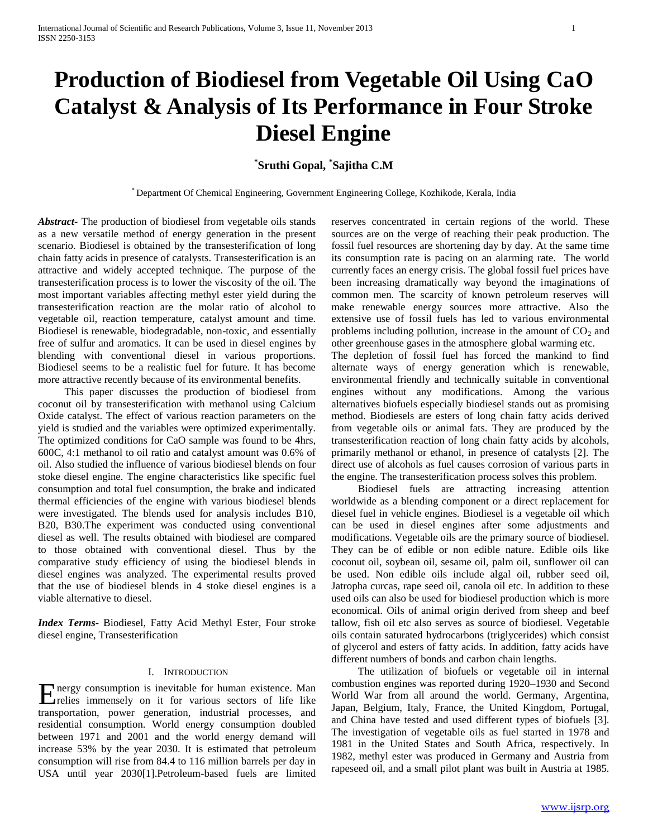# **Production of Biodiesel from Vegetable Oil Using CaO Catalyst & Analysis of Its Performance in Four Stroke Diesel Engine**

# **\* Sruthi Gopal, \* Sajitha C.M**

\* Department Of Chemical Engineering, Government Engineering College, Kozhikode, Kerala, India

*Abstract***-** The production of biodiesel from vegetable oils stands as a new versatile method of energy generation in the present scenario. Biodiesel is obtained by the transesterification of long chain fatty acids in presence of catalysts. Transesterification is an attractive and widely accepted technique. The purpose of the transesterification process is to lower the viscosity of the oil. The most important variables affecting methyl ester yield during the transesterification reaction are the molar ratio of alcohol to vegetable oil, reaction temperature, catalyst amount and time. Biodiesel is renewable, biodegradable, non-toxic, and essentially free of sulfur and aromatics. It can be used in diesel engines by blending with conventional diesel in various proportions. Biodiesel seems to be a realistic fuel for future. It has become more attractive recently because of its environmental benefits.

 This paper discusses the production of biodiesel from coconut oil by transesterification with methanol using Calcium Oxide catalyst. The effect of various reaction parameters on the yield is studied and the variables were optimized experimentally. The optimized conditions for CaO sample was found to be 4hrs, 600C, 4:1 methanol to oil ratio and catalyst amount was 0.6% of oil. Also studied the influence of various biodiesel blends on four stoke diesel engine. The engine characteristics like specific fuel consumption and total fuel consumption, the brake and indicated thermal efficiencies of the engine with various biodiesel blends were investigated. The blends used for analysis includes B10, B20, B30.The experiment was conducted using conventional diesel as well. The results obtained with biodiesel are compared to those obtained with conventional diesel. Thus by the comparative study efficiency of using the biodiesel blends in diesel engines was analyzed. The experimental results proved that the use of biodiesel blends in 4 stoke diesel engines is a viable alternative to diesel.

*Index Terms*- Biodiesel, Fatty Acid Methyl Ester, Four stroke diesel engine, Transesterification

# I. INTRODUCTION

nergy consumption is inevitable for human existence. Man Energy consumption is inevitable for human existence. Man relies immensely on it for various sectors of life like transportation, power generation, industrial processes, and residential consumption. World energy consumption doubled between 1971 and 2001 and the world energy demand will increase 53% by the year 2030. It is estimated that petroleum consumption will rise from 84.4 to 116 million barrels per day in USA until year 2030[1].Petroleum-based fuels are limited

reserves concentrated in certain regions of the world. These sources are on the verge of reaching their peak production. The fossil fuel resources are shortening day by day. At the same time its consumption rate is pacing on an alarming rate. The world currently faces an energy crisis. The global fossil fuel prices have been increasing dramatically way beyond the imaginations of common men. The scarcity of known petroleum reserves will make renewable energy sources more attractive. Also the extensive use of fossil fuels has led to various environmental problems including pollution, increase in the amount of  $CO<sub>2</sub>$  and other greenhouse gases in the atmosphere, global warming etc.

The depletion of fossil fuel has forced the mankind to find alternate ways of energy generation which is renewable, environmental friendly and technically suitable in conventional engines without any modifications. Among the various alternatives biofuels especially biodiesel stands out as promising method. Biodiesels are esters of long chain fatty acids derived from vegetable oils or animal fats. They are produced by the transesterification reaction of long chain fatty acids by alcohols, primarily methanol or ethanol, in presence of catalysts [2]. The direct use of alcohols as fuel causes corrosion of various parts in the engine. The transesterification process solves this problem.

 Biodiesel fuels are attracting increasing attention worldwide as a blending component or a direct replacement for diesel fuel in vehicle engines. Biodiesel is a vegetable oil which can be used in diesel engines after some adjustments and modifications. Vegetable oils are the primary source of biodiesel. They can be of edible or non edible nature. Edible oils like coconut oil, soybean oil, sesame oil, palm oil, sunflower oil can be used. Non edible oils include algal oil, rubber seed oil, Jatropha curcas, rape seed oil, canola oil etc. In addition to these used oils can also be used for biodiesel production which is more economical. Oils of animal origin derived from sheep and beef tallow, fish oil etc also serves as source of biodiesel. Vegetable oils contain saturated hydrocarbons (triglycerides) which consist of glycerol and esters of fatty acids. In addition, fatty acids have different numbers of bonds and carbon chain lengths.

 The utilization of biofuels or vegetable oil in internal combustion engines was reported during 1920–1930 and Second World War from all around the world. Germany, Argentina, Japan, Belgium, Italy, France, the United Kingdom, Portugal, and China have tested and used different types of biofuels [3]. The investigation of vegetable oils as fuel started in 1978 and 1981 in the United States and South Africa, respectively. In 1982, methyl ester was produced in Germany and Austria from rapeseed oil, and a small pilot plant was built in Austria at 1985.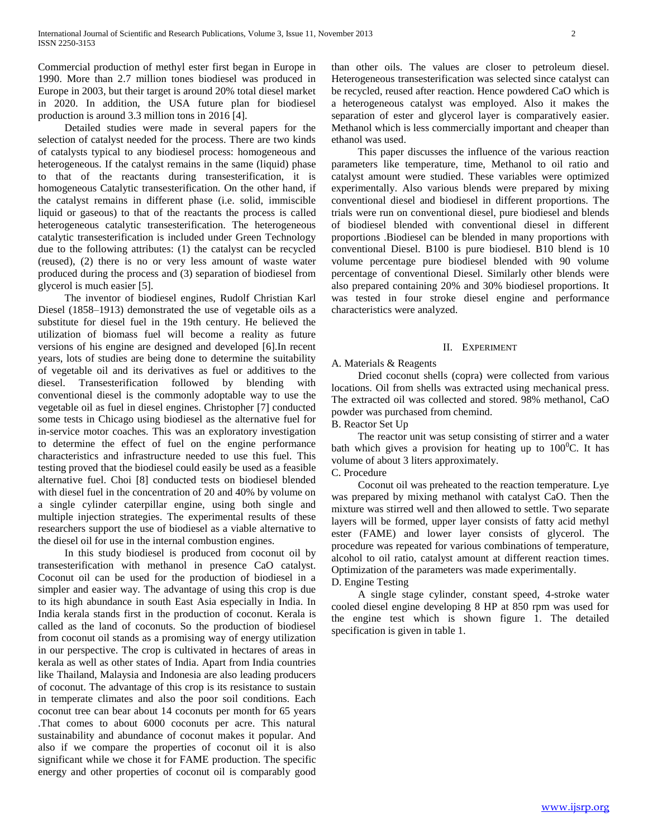Commercial production of methyl ester first began in Europe in 1990. More than 2.7 million tones biodiesel was produced in Europe in 2003, but their target is around 20% total diesel market in 2020. In addition, the USA future plan for biodiesel production is around 3.3 million tons in 2016 [4].

 Detailed studies were made in several papers for the selection of catalyst needed for the process. There are two kinds of catalysts typical to any biodiesel process: homogeneous and heterogeneous. If the catalyst remains in the same (liquid) phase to that of the reactants during transesterification, it is homogeneous Catalytic transesterification. On the other hand, if the catalyst remains in different phase (i.e. solid, immiscible liquid or gaseous) to that of the reactants the process is called heterogeneous catalytic transesterification. The heterogeneous catalytic transesterification is included under Green Technology due to the following attributes: (1) the catalyst can be recycled (reused), (2) there is no or very less amount of waste water produced during the process and (3) separation of biodiesel from glycerol is much easier [5].

 The inventor of biodiesel engines, Rudolf Christian Karl Diesel (1858–1913) demonstrated the use of vegetable oils as a substitute for diesel fuel in the 19th century. He believed the utilization of biomass fuel will become a reality as future versions of his engine are designed and developed [6].In recent years, lots of studies are being done to determine the suitability of vegetable oil and its derivatives as fuel or additives to the diesel. Transesterification followed by blending with conventional diesel is the commonly adoptable way to use the vegetable oil as fuel in diesel engines. Christopher [7] conducted some tests in Chicago using biodiesel as the alternative fuel for in-service motor coaches. This was an exploratory investigation to determine the effect of fuel on the engine performance characteristics and infrastructure needed to use this fuel. This testing proved that the biodiesel could easily be used as a feasible alternative fuel. Choi [8] conducted tests on biodiesel blended with diesel fuel in the concentration of 20 and 40% by volume on a single cylinder caterpillar engine, using both single and multiple injection strategies. The experimental results of these researchers support the use of biodiesel as a viable alternative to the diesel oil for use in the internal combustion engines.

 In this study biodiesel is produced from coconut oil by transesterification with methanol in presence CaO catalyst. Coconut oil can be used for the production of biodiesel in a simpler and easier way. The advantage of using this crop is due to its high abundance in south East Asia especially in India. In India kerala stands first in the production of coconut. Kerala is called as the land of coconuts. So the production of biodiesel from coconut oil stands as a promising way of energy utilization in our perspective. The crop is cultivated in hectares of areas in kerala as well as other states of India. Apart from India countries like Thailand, Malaysia and Indonesia are also leading producers of coconut. The advantage of this crop is its resistance to sustain in temperate climates and also the poor soil conditions. Each coconut tree can bear about 14 coconuts per month for 65 years .That comes to about 6000 coconuts per acre. This natural sustainability and abundance of coconut makes it popular. And also if we compare the properties of coconut oil it is also significant while we chose it for FAME production. The specific energy and other properties of coconut oil is comparably good

than other oils. The values are closer to petroleum diesel. Heterogeneous transesterification was selected since catalyst can be recycled, reused after reaction. Hence powdered CaO which is a heterogeneous catalyst was employed. Also it makes the separation of ester and glycerol layer is comparatively easier. Methanol which is less commercially important and cheaper than ethanol was used.

 This paper discusses the influence of the various reaction parameters like temperature, time, Methanol to oil ratio and catalyst amount were studied. These variables were optimized experimentally. Also various blends were prepared by mixing conventional diesel and biodiesel in different proportions. The trials were run on conventional diesel, pure biodiesel and blends of biodiesel blended with conventional diesel in different proportions .Biodiesel can be blended in many proportions with conventional Diesel. B100 is pure biodiesel. B10 blend is 10 volume percentage pure biodiesel blended with 90 volume percentage of conventional Diesel. Similarly other blends were also prepared containing 20% and 30% biodiesel proportions. It was tested in four stroke diesel engine and performance characteristics were analyzed.

# II. EXPERIMENT

# A. Materials & Reagents

 Dried coconut shells (copra) were collected from various locations. Oil from shells was extracted using mechanical press. The extracted oil was collected and stored. 98% methanol, CaO powder was purchased from chemind.

# B. Reactor Set Up

 The reactor unit was setup consisting of stirrer and a water bath which gives a provision for heating up to  $100^{\circ}$ C. It has volume of about 3 liters approximately.

C. Procedure

 Coconut oil was preheated to the reaction temperature. Lye was prepared by mixing methanol with catalyst CaO. Then the mixture was stirred well and then allowed to settle. Two separate layers will be formed, upper layer consists of fatty acid methyl ester (FAME) and lower layer consists of glycerol. The procedure was repeated for various combinations of temperature, alcohol to oil ratio, catalyst amount at different reaction times. Optimization of the parameters was made experimentally.

# D. Engine Testing

 A single stage cylinder, constant speed, 4-stroke water cooled diesel engine developing 8 HP at 850 rpm was used for the engine test which is shown figure 1. The detailed specification is given in table 1.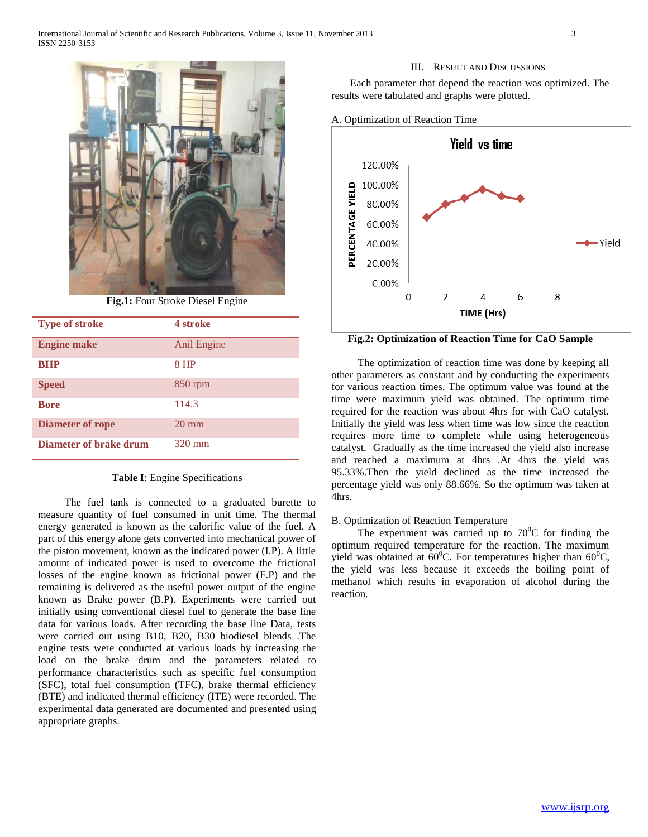

**Fig.1:** Four Stroke Diesel Engine

| <b>Type of stroke</b>   | 4 stroke         |
|-------------------------|------------------|
| <b>Engine make</b>      | Anil Engine      |
| <b>BHP</b>              | 8 HP             |
| <b>Speed</b>            | $850$ rpm        |
| <b>Bore</b>             | 114.3            |
| <b>Diameter of rope</b> | $20 \text{ mm}$  |
| Diameter of brake drum  | $320 \text{ mm}$ |

# **Table I**: Engine Specifications

 The fuel tank is connected to a graduated burette to measure quantity of fuel consumed in unit time. The thermal energy generated is known as the calorific value of the fuel. A part of this energy alone gets converted into mechanical power of the piston movement, known as the indicated power (I.P). A little amount of indicated power is used to overcome the frictional losses of the engine known as frictional power (F.P) and the remaining is delivered as the useful power output of the engine known as Brake power (B.P). Experiments were carried out initially using conventional diesel fuel to generate the base line data for various loads. After recording the base line Data, tests were carried out using B10, B20, B30 biodiesel blends .The engine tests were conducted at various loads by increasing the load on the brake drum and the parameters related to performance characteristics such as specific fuel consumption (SFC), total fuel consumption (TFC), brake thermal efficiency (BTE) and indicated thermal efficiency (ITE) were recorded. The experimental data generated are documented and presented using appropriate graphs.

#### III. RESULT AND DISCUSSIONS

 Each parameter that depend the reaction was optimized. The results were tabulated and graphs were plotted.





**Fig.2: Optimization of Reaction Time for CaO Sample**

 The optimization of reaction time was done by keeping all other parameters as constant and by conducting the experiments for various reaction times. The optimum value was found at the time were maximum yield was obtained. The optimum time required for the reaction was about 4hrs for with CaO catalyst. Initially the yield was less when time was low since the reaction requires more time to complete while using heterogeneous catalyst. Gradually as the time increased the yield also increase and reached a maximum at 4hrs .At 4hrs the yield was 95.33%.Then the yield declined as the time increased the percentage yield was only 88.66%. So the optimum was taken at 4hrs.

#### B. Optimization of Reaction Temperature

The experiment was carried up to  $70^{\circ}$ C for finding the optimum required temperature for the reaction. The maximum yield was obtained at  $60^{\circ}$ C. For temperatures higher than  $60^{\circ}$ C, the yield was less because it exceeds the boiling point of methanol which results in evaporation of alcohol during the reaction.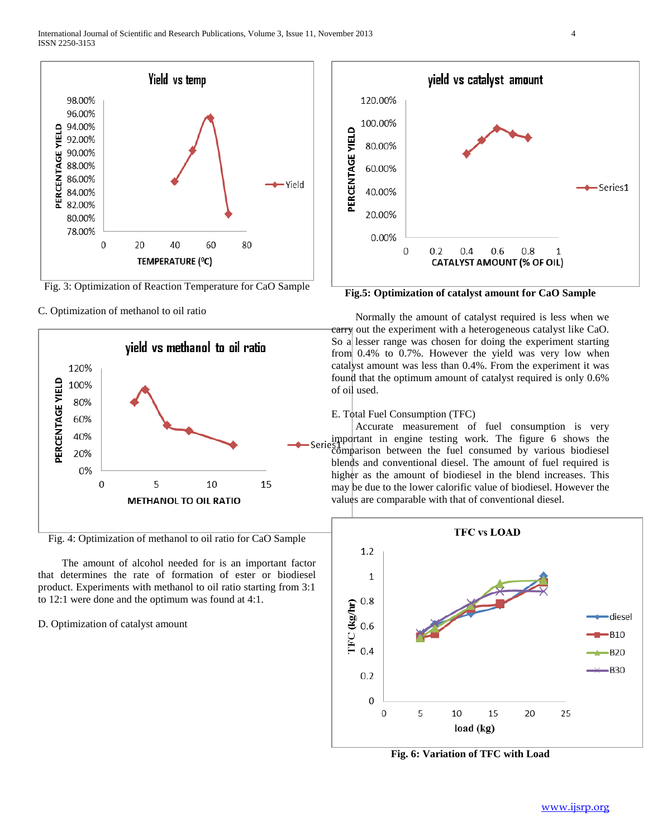

Fig. 3: Optimization of Reaction Temperature for CaO Sample

C. Optimization of methanol to oil ratio



Fig. 4: Optimization of methanol to oil ratio for CaO Sample

 The amount of alcohol needed for is an important factor that determines the rate of formation of ester or biodiesel product. Experiments with methanol to oil ratio starting from 3:1 to 12:1 were done and the optimum was found at 4:1.

#### D. Optimization of catalyst amount



**Fig.5: Optimization of catalyst amount for CaO Sample**

 Normally the amount of catalyst required is less when we carry out the experiment with a heterogeneous catalyst like CaO. So a lesser range was chosen for doing the experiment starting from 0.4% to 0.7%. However the yield was very low when catalyst amount was less than 0.4%. From the experiment it was found that the optimum amount of catalyst required is only 0.6% of oil used.

# E. Total Fuel Consumption (TFC)

 Accurate measurement of fuel consumption is very est portant in engine testing work. The figure 6 shows the comparison between the fuel consumed by various biodiesel blends and conventional diesel. The amount of fuel required is higher as the amount of biodiesel in the blend increases. This may be due to the lower calorific value of biodiesel. However the values are comparable with that of conventional diesel.



**Fig. 6: Variation of TFC with Load**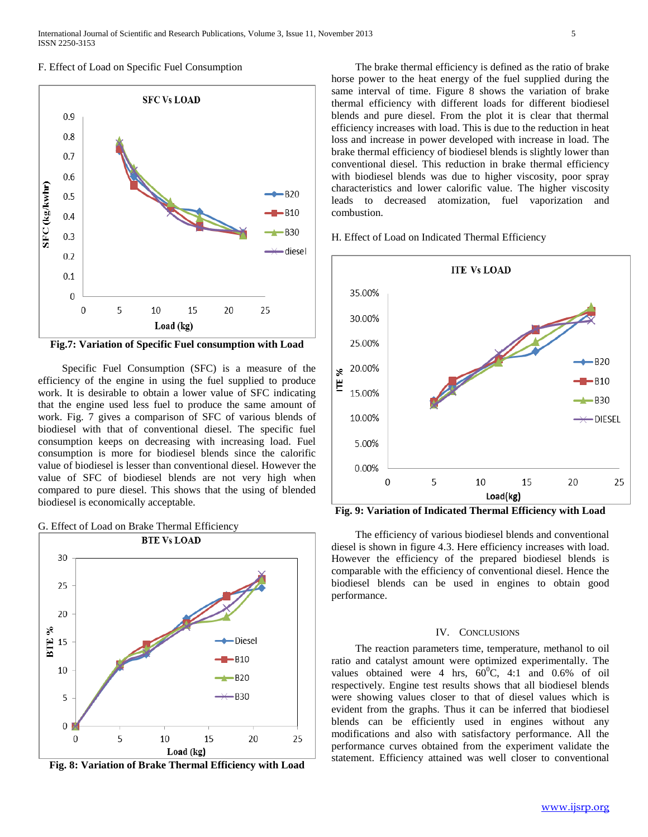#### F. Effect of Load on Specific Fuel Consumption



**Fig.7: Variation of Specific Fuel consumption with Load**

 Specific Fuel Consumption (SFC) is a measure of the efficiency of the engine in using the fuel supplied to produce work. It is desirable to obtain a lower value of SFC indicating that the engine used less fuel to produce the same amount of work. Fig. 7 gives a comparison of SFC of various blends of biodiesel with that of conventional diesel. The specific fuel consumption keeps on decreasing with increasing load. Fuel consumption is more for biodiesel blends since the calorific value of biodiesel is lesser than conventional diesel. However the value of SFC of biodiesel blends are not very high when compared to pure diesel. This shows that the using of blended biodiesel is economically acceptable.





**Fig. 8: Variation of Brake Thermal Efficiency with Load**

 The brake thermal efficiency is defined as the ratio of brake horse power to the heat energy of the fuel supplied during the same interval of time. Figure 8 shows the variation of brake thermal efficiency with different loads for different biodiesel blends and pure diesel. From the plot it is clear that thermal efficiency increases with load. This is due to the reduction in heat loss and increase in power developed with increase in load. The brake thermal efficiency of biodiesel blends is slightly lower than conventional diesel. This reduction in brake thermal efficiency with biodiesel blends was due to higher viscosity, poor spray characteristics and lower calorific value. The higher viscosity leads to decreased atomization, fuel vaporization and combustion.

H. Effect of Load on Indicated Thermal Efficiency



**Fig. 9: Variation of Indicated Thermal Efficiency with Load**

 The efficiency of various biodiesel blends and conventional diesel is shown in figure 4.3. Here efficiency increases with load. However the efficiency of the prepared biodiesel blends is comparable with the efficiency of conventional diesel. Hence the biodiesel blends can be used in engines to obtain good performance.

#### IV. CONCLUSIONS

 The reaction parameters time, temperature, methanol to oil ratio and catalyst amount were optimized experimentally. The values obtained were 4 hrs,  $60^{\circ}$ C, 4:1 and 0.6% of oil respectively. Engine test results shows that all biodiesel blends were showing values closer to that of diesel values which is evident from the graphs. Thus it can be inferred that biodiesel blends can be efficiently used in engines without any modifications and also with satisfactory performance. All the performance curves obtained from the experiment validate the statement. Efficiency attained was well closer to conventional